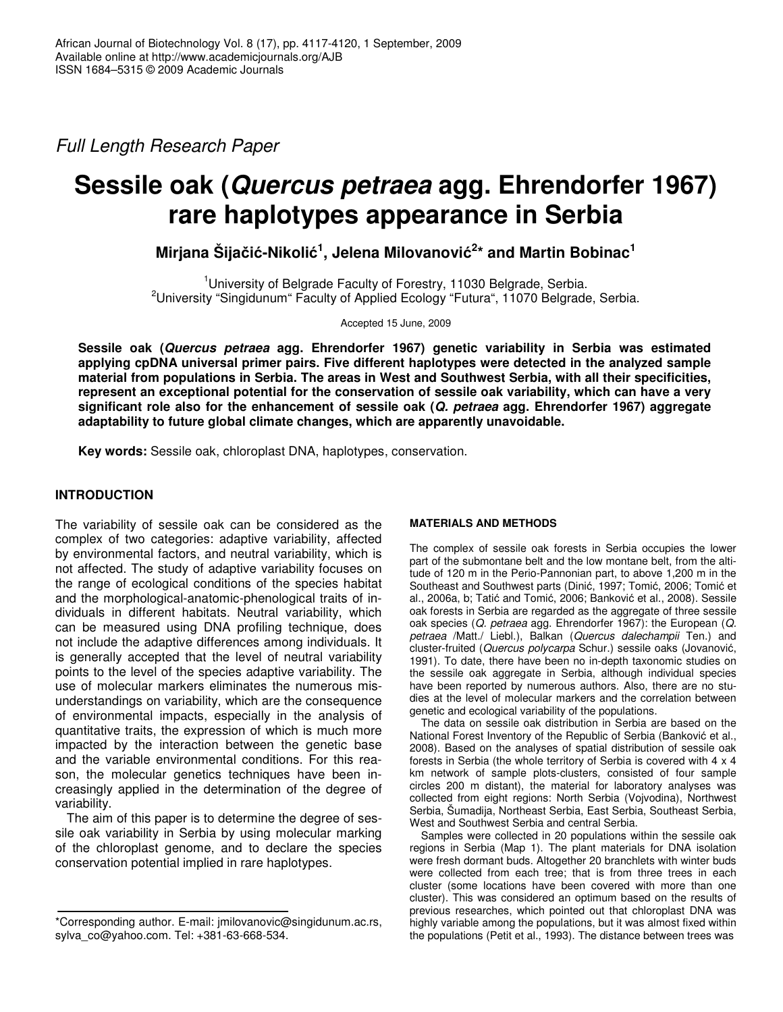*Full Length Research Paper*

# **Sessile oak (***Quercus petraea* **agg. Ehrendorfer 1967) rare haplotypes appearance in Serbia**

 $\mathbf{M}$ irjana Šijačić-Nikolić<sup>1</sup>, Jelena Milovanović<sup>2</sup>\* and Martin Bobinac<sup>1</sup>

<sup>1</sup>University of Belgrade Faculty of Forestry, 11030 Belgrade, Serbia. <sup>2</sup>University "Singidunum" Faculty of Applied Ecology "Futura", 11070 Belgrade, Serbia.

Accepted 15 June, 2009

**Sessile oak (***Quercus petraea* **agg. Ehrendorfer 1967) genetic variability in Serbia was estimated applying cpDNA universal primer pairs. Five different haplotypes were detected in the analyzed sample material from populations in Serbia. The areas in West and Southwest Serbia, with all their specificities, represent an exceptional potential for the conservation of sessile oak variability, which can have a very significant role also for the enhancement of sessile oak (***Q. petraea* **agg. Ehrendorfer 1967) aggregate adaptability to future global climate changes, which are apparently unavoidable.**

**Key words:** Sessile oak, chloroplast DNA, haplotypes, conservation.

## **INTRODUCTION**

The variability of sessile oak can be considered as the complex of two categories: adaptive variability, affected by environmental factors, and neutral variability, which is not affected. The study of adaptive variability focuses on the range of ecological conditions of the species habitat and the morphological-anatomic-phenological traits of individuals in different habitats. Neutral variability, which can be measured using DNA profiling technique, does not include the adaptive differences among individuals. It is generally accepted that the level of neutral variability points to the level of the species adaptive variability. The use of molecular markers eliminates the numerous misunderstandings on variability, which are the consequence of environmental impacts, especially in the analysis of quantitative traits, the expression of which is much more impacted by the interaction between the genetic base and the variable environmental conditions. For this reason, the molecular genetics techniques have been increasingly applied in the determination of the degree of variability.

The aim of this paper is to determine the degree of sessile oak variability in Serbia by using molecular marking of the chloroplast genome, and to declare the species conservation potential implied in rare haplotypes.

### **MATERIALS AND METHODS**

The complex of sessile oak forests in Serbia occupies the lower part of the submontane belt and the low montane belt, from the altitude of 120 m in the Perio-Pannonian part, to above 1,200 m in the Southeast and Southwest parts (Dinić, 1997; Tomić, 2006; Tomić et al., 2006a, b; Tatić and Tomić, 2006; Banković et al., 2008). Sessile oak forests in Serbia are regarded as the aggregate of three sessile oak species (*Q. petraea* agg. Ehrendorfer 1967): the European (*Q. petraea* /Matt./ Liebl.), Balkan (*Quercus dalechampii* Ten.) and cluster-fruited (*Quercus polycarpa* Schur.) sessile oaks (Jovanovi, 1991). To date, there have been no in-depth taxonomic studies on the sessile oak aggregate in Serbia, although individual species have been reported by numerous authors. Also, there are no studies at the level of molecular markers and the correlation between genetic and ecological variability of the populations.

The data on sessile oak distribution in Serbia are based on the National Forest Inventory of the Republic of Serbia (Banković et al., 2008). Based on the analyses of spatial distribution of sessile oak forests in Serbia (the whole territory of Serbia is covered with 4 x 4 km network of sample plots-clusters, consisted of four sample circles 200 m distant), the material for laboratory analyses was collected from eight regions: North Serbia (Vojvodina), Northwest Serbia, Šumadija, Northeast Serbia, East Serbia, Southeast Serbia, West and Southwest Serbia and central Serbia.

Samples were collected in 20 populations within the sessile oak regions in Serbia (Map 1). The plant materials for DNA isolation were fresh dormant buds. Altogether 20 branchlets with winter buds were collected from each tree; that is from three trees in each cluster (some locations have been covered with more than one cluster). This was considered an optimum based on the results of previous researches, which pointed out that chloroplast DNA was highly variable among the populations, but it was almost fixed within the populations (Petit et al., 1993). The distance between trees was

<sup>\*</sup>Corresponding author. E-mail: jmilovanovic@singidunum.ac.rs, sylva\_co@yahoo.com. Tel: +381-63-668-534.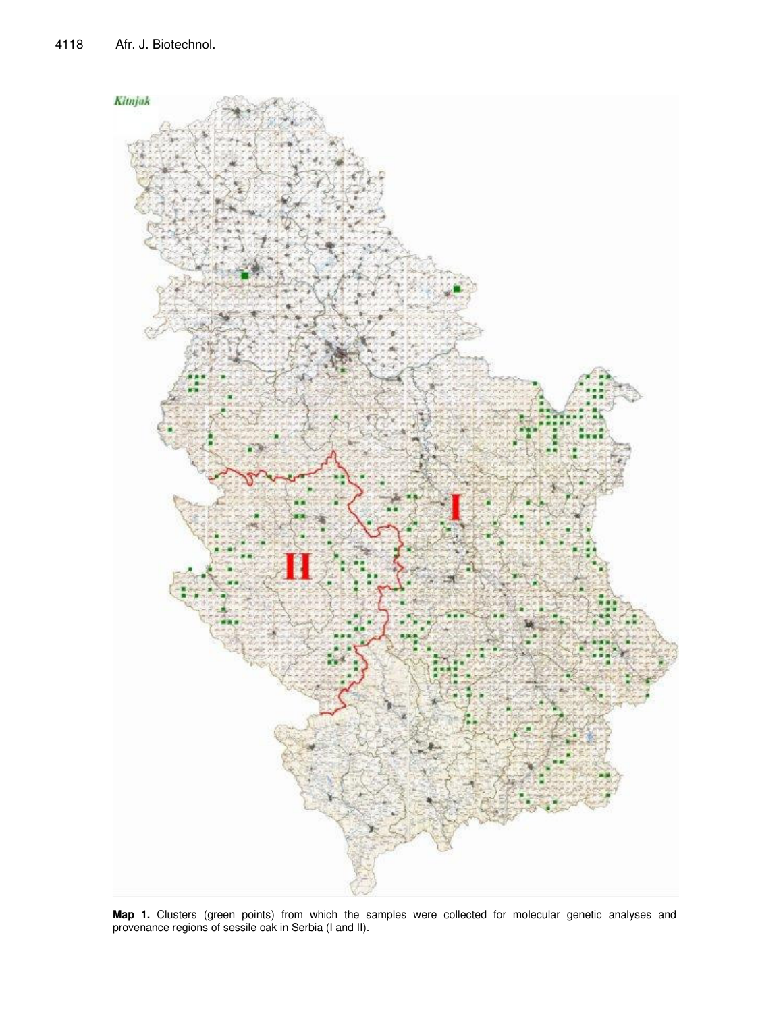

**Map 1.** Clusters (green points) from which the samples were collected for molecular genetic analyses and provenance regions of sessile oak in Serbia (I and II).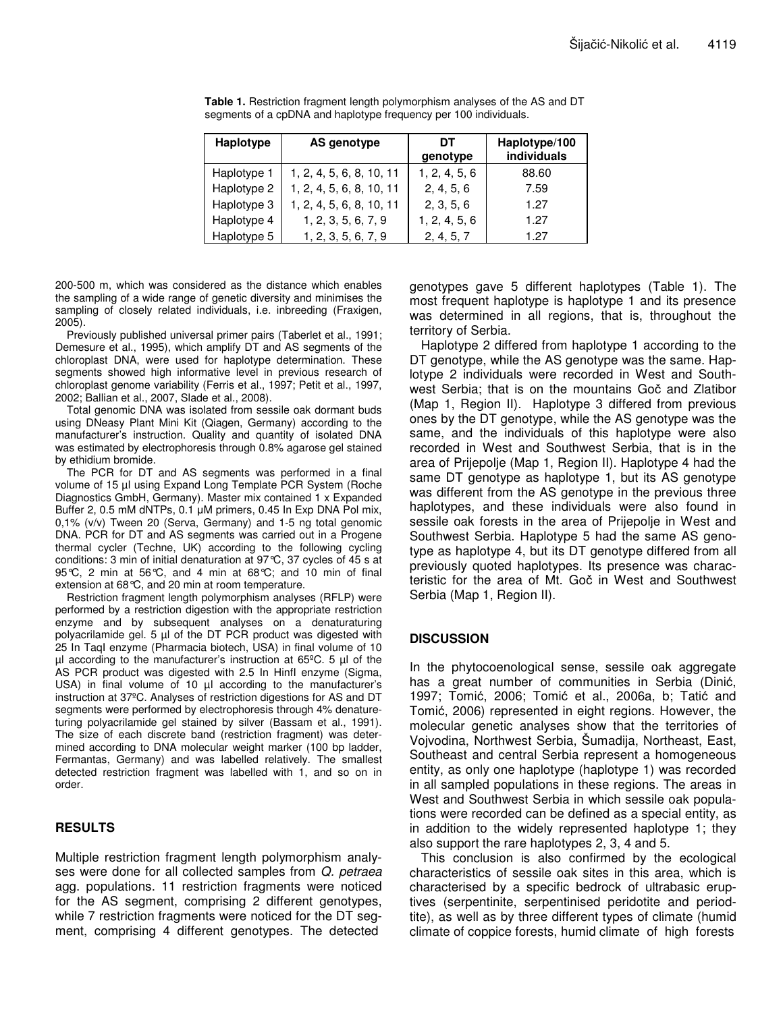| Haplotype   | AS genotype              | DT<br>genotype | Haplotype/100<br><b>individuals</b> |
|-------------|--------------------------|----------------|-------------------------------------|
| Haplotype 1 | 1, 2, 4, 5, 6, 8, 10, 11 | 1, 2, 4, 5, 6  | 88.60                               |
| Haplotype 2 | 1, 2, 4, 5, 6, 8, 10, 11 | 2, 4, 5, 6     | 7.59                                |
| Haplotype 3 | 1, 2, 4, 5, 6, 8, 10, 11 | 2, 3, 5, 6     | 1.27                                |
| Haplotype 4 | 1, 2, 3, 5, 6, 7, 9      | 1, 2, 4, 5, 6  | 1.27                                |
| Haplotype 5 | 1, 2, 3, 5, 6, 7, 9      | 2, 4, 5, 7     | 1.27                                |

**Table 1.** Restriction fragment length polymorphism analyses of the AS and DT segments of a cpDNA and haplotype frequency per 100 individuals.

200-500 m, which was considered as the distance which enables the sampling of a wide range of genetic diversity and minimises the sampling of closely related individuals, i.e. inbreeding (Fraxigen, 2005).

Previously published universal primer pairs (Taberlet et al., 1991; Demesure et al., 1995), which amplify DT and AS segments of the chloroplast DNA, were used for haplotype determination. These segments showed high informative level in previous research of chloroplast genome variability (Ferris et al., 1997; Petit et al., 1997, 2002; Ballian et al., 2007, Slade et al., 2008).

Total genomic DNA was isolated from sessile oak dormant buds using DNeasy Plant Mini Kit (Qiagen, Germany) according to the manufacturer's instruction. Quality and quantity of isolated DNA was estimated by electrophoresis through 0.8% agarose gel stained by ethidium bromide.

The PCR for DT and AS segments was performed in a final volume of 15 µl using Expand Long Template PCR System (Roche Diagnostics GmbH, Germany). Master mix contained 1 x Expanded Buffer 2, 0.5 mM dNTPs, 0.1 µM primers, 0.45 In Exp DNA Pol mix, 0,1% (v/v) Tween 20 (Serva, Germany) and 1-5 ng total genomic DNA. PCR for DT and AS segments was carried out in a Progene thermal cycler (Techne, UK) according to the following cycling conditions: 3 min of initial denaturation at 97°C, 37 cycles of 45 s at 95°C, 2 min at 56°C, and 4 min at 68°C; and 10 min of final extension at 68°C, and 20 min at room temperature.

Restriction fragment length polymorphism analyses (RFLP) were performed by a restriction digestion with the appropriate restriction enzyme and by subsequent analyses on a denaturaturing polyacrilamide gel. 5 µl of the DT PCR product was digested with 25 In TaqI enzyme (Pharmacia biotech, USA) in final volume of 10  $\mu$ l according to the manufacturer's instruction at 65°C. 5  $\mu$ l of the AS PCR product was digested with 2.5 In HinfI enzyme (Sigma, USA) in final volume of 10  $\mu$ l according to the manufacturer's instruction at 37ºC. Analyses of restriction digestions for AS and DT segments were performed by electrophoresis through 4% denatureturing polyacrilamide gel stained by silver (Bassam et al., 1991). The size of each discrete band (restriction fragment) was determined according to DNA molecular weight marker (100 bp ladder, Fermantas, Germany) and was labelled relatively. The smallest detected restriction fragment was labelled with 1, and so on in order.

### **RESULTS**

Multiple restriction fragment length polymorphism analyses were done for all collected samples from *Q. petraea* agg. populations. 11 restriction fragments were noticed for the AS segment, comprising 2 different genotypes, while 7 restriction fragments were noticed for the DT segment, comprising 4 different genotypes. The detected

genotypes gave 5 different haplotypes (Table 1). The most frequent haplotype is haplotype 1 and its presence was determined in all regions, that is, throughout the territory of Serbia.

Haplotype 2 differed from haplotype 1 according to the DT genotype, while the AS genotype was the same. Haplotype 2 individuals were recorded in West and Southwest Serbia; that is on the mountains Goč and Zlatibor (Map 1, Region II). Haplotype 3 differed from previous ones by the DT genotype, while the AS genotype was the same, and the individuals of this haplotype were also recorded in West and Southwest Serbia, that is in the area of Prijepolje (Map 1, Region II). Haplotype 4 had the same DT genotype as haplotype 1, but its AS genotype was different from the AS genotype in the previous three haplotypes, and these individuals were also found in sessile oak forests in the area of Prijepolje in West and Southwest Serbia. Haplotype 5 had the same AS genotype as haplotype 4, but its DT genotype differed from all previously quoted haplotypes. Its presence was characteristic for the area of Mt. Goč in West and Southwest Serbia (Map 1, Region II).

### **DISCUSSION**

In the phytocoenological sense, sessile oak aggregate has a great number of communities in Serbia (Dinić, 1997; Tomić, 2006; Tomić et al., 2006a, b; Tatić and Tomić, 2006) represented in eight regions. However, the molecular genetic analyses show that the territories of Vojvodina, Northwest Serbia, Šumadija, Northeast, East, Southeast and central Serbia represent a homogeneous entity, as only one haplotype (haplotype 1) was recorded in all sampled populations in these regions. The areas in West and Southwest Serbia in which sessile oak populations were recorded can be defined as a special entity, as in addition to the widely represented haplotype 1; they also support the rare haplotypes 2, 3, 4 and 5.

This conclusion is also confirmed by the ecological characteristics of sessile oak sites in this area, which is characterised by a specific bedrock of ultrabasic eruptives (serpentinite, serpentinised peridotite and periodtite), as well as by three different types of climate (humid climate of coppice forests, humid climate of high forests